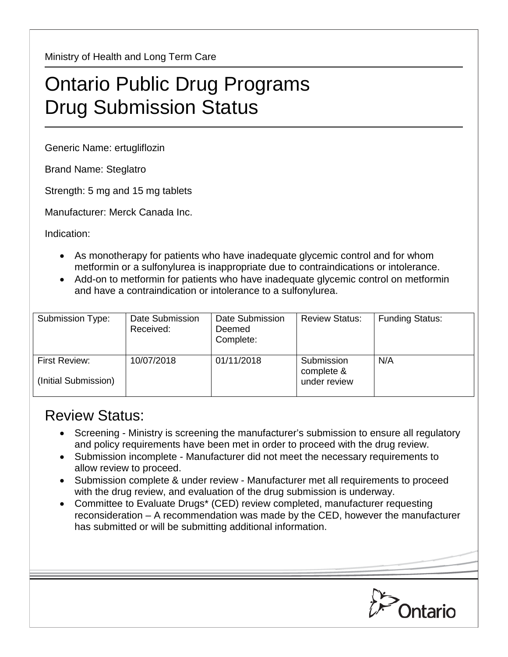Ministry of Health and Long Term Care

## Ontario Public Drug Programs Drug Submission Status

Generic Name: ertugliflozin

Brand Name: Steglatro

Strength: 5 mg and 15 mg tablets

Manufacturer: Merck Canada Inc.

Indication:

- As monotherapy for patients who have inadequate glycemic control and for whom metformin or a sulfonylurea is inappropriate due to contraindications or intolerance.
- Add-on to metformin for patients who have inadequate glycemic control on metformin and have a contraindication or intolerance to a sulfonylurea.

| Submission Type:                      | Date Submission<br>Received: | Date Submission<br>Deemed<br>Complete: | <b>Review Status:</b>                    | <b>Funding Status:</b> |
|---------------------------------------|------------------------------|----------------------------------------|------------------------------------------|------------------------|
| First Review:<br>(Initial Submission) | 10/07/2018                   | 01/11/2018                             | Submission<br>complete &<br>under review | N/A                    |

## Review Status:

- Screening Ministry is screening the manufacturer's submission to ensure all regulatory and policy requirements have been met in order to proceed with the drug review.
- Submission incomplete Manufacturer did not meet the necessary requirements to allow review to proceed.
- Submission complete & under review Manufacturer met all requirements to proceed with the drug review, and evaluation of the drug submission is underway.
- Committee to Evaluate Drugs\* (CED) review completed, manufacturer requesting reconsideration – A recommendation was made by the CED, however the manufacturer has submitted or will be submitting additional information.